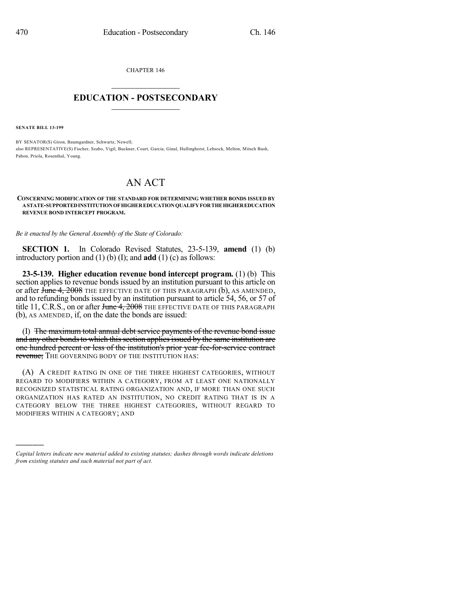CHAPTER 146

## $\mathcal{L}_\text{max}$  . The set of the set of the set of the set of the set of the set of the set of the set of the set of the set of the set of the set of the set of the set of the set of the set of the set of the set of the set **EDUCATION - POSTSECONDARY**  $\frac{1}{2}$  ,  $\frac{1}{2}$  ,  $\frac{1}{2}$  ,  $\frac{1}{2}$  ,  $\frac{1}{2}$  ,  $\frac{1}{2}$  ,  $\frac{1}{2}$

**SENATE BILL 13-199**

)))))

BY SENATOR(S) Giron, Baumgardner, Schwartz, Newell; also REPRESENTATIVE(S) Fischer, Szabo, Vigil, Buckner, Court, Garcia, Ginal, Hullinghorst, Lebsock, Melton, Mitsch Bush, Pabon, Priola, Rosenthal, Young.

## AN ACT

**CONCERNING MODIFICATION OF THE STANDARD FOR DETERMINING WHETHER BONDS ISSUED BY ASTATE-SUPPORTEDINSTITUTIONOF HIGHEREDUCATIONQUALIFYFORTHEHIGHEREDUCATION REVENUE BOND INTERCEPT PROGRAM.**

*Be it enacted by the General Assembly of the State of Colorado:*

**SECTION 1.** In Colorado Revised Statutes, 23-5-139, **amend** (1) (b) introductory portion and (1) (b) (I); and **add** (1) (c) as follows:

**23-5-139. Higher education revenue bond intercept program.** (1) (b) This section applies to revenue bonds issued by an institution pursuant to this article on or after June 4, 2008 THE EFFECTIVE DATE OF THIS PARAGRAPH (b), AS AMENDED, and to refunding bonds issued by an institution pursuant to article 54, 56, or 57 of title 11, C.R.S., on or after June 4, 2008 THE EFFECTIVE DATE OF THIS PARAGRAPH (b), AS AMENDED, if, on the date the bonds are issued:

(I) The maximum total annual debt service payments of the revenue bond issue and any other bonds to which this section applies issued by the same institution are one hundred percent or less of the institution's prior year fee-for-service contract revenue; The GOVERNING BODY OF THE INSTITUTION HAS:

(A) A CREDIT RATING IN ONE OF THE THREE HIGHEST CATEGORIES, WITHOUT REGARD TO MODIFIERS WITHIN A CATEGORY, FROM AT LEAST ONE NATIONALLY RECOGNIZED STATISTICAL RATING ORGANIZATION AND, IF MORE THAN ONE SUCH ORGANIZATION HAS RATED AN INSTITUTION, NO CREDIT RATING THAT IS IN A CATEGORY BELOW THE THREE HIGHEST CATEGORIES, WITHOUT REGARD TO MODIFIERS WITHIN A CATEGORY; AND

*Capital letters indicate new material added to existing statutes; dashes through words indicate deletions from existing statutes and such material not part of act.*